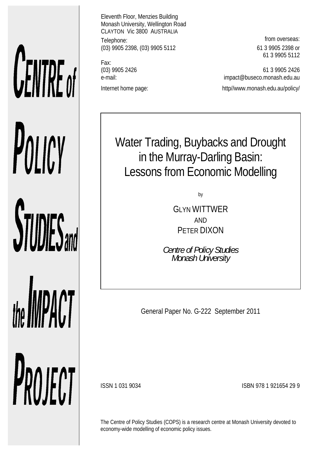# CENTRE of POLICY **STUDIES** and the **IMPACT** PROJECT

Eleventh Floor, Menzies Building Monash University, Wellington Road CLAYTON Vic 3800 AUSTRALIA Telephone: **from overseas:** (03) 9905 2398, (03) 9905 5112 61 3 9905 2398 or

Fax:

61 3 9905 5112

(03) 9905 2426 61 3 9905 2426 e-mail: impact@buseco.monash.edu.au Internet home page: http://www.monash.edu.au/policy/

Water Trading, Buybacks and Drought in the Murray-Darling Basin: Lessons from Economic Modelling

by

GLYN WITTWER AND PETER DIXON

*Centre of Policy Studies Monash University* 

General Paper No. G-222 September 2011

ISSN 1 031 9034 ISBN 978 1 921654 29 9

The Centre of Policy Studies (COPS) is a research centre at Monash University devoted to economy-wide modelling of economic policy issues.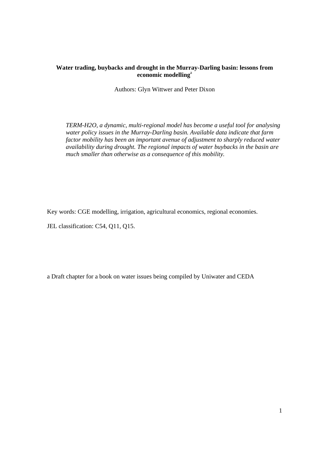### **Water trading, buybacks and drought in the Murray-Darling basin: lessons from economic modelling**<sup>a</sup>

Authors: Glyn Wittwer and Peter Dixon

*TERM-H2O, a dynamic, multi-regional model has become a useful tool for analysing water policy issues in the Murray-Darling basin. Available data indicate that farm factor mobility has been an important avenue of adjustment to sharply reduced water availability during drought. The regional impacts of water buybacks in the basin are much smaller than otherwise as a consequence of this mobility.* 

Key words: CGE modelling, irrigation, agricultural economics, regional economies.

JEL classification: C54, Q11, Q15.

a Draft chapter for a book on water issues being compiled by Uniwater and CEDA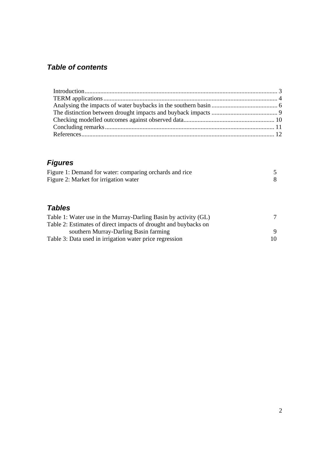# *Table of contents*

# *Figures*

| Figure 1: Demand for water: comparing orchards and rice |  |
|---------------------------------------------------------|--|
| Figure 2: Market for irrigation water                   |  |

## *Tables*

| Table 1: Water use in the Murray-Darling Basin by activity (GL) |    |
|-----------------------------------------------------------------|----|
| Table 2: Estimates of direct impacts of drought and buybacks on |    |
| southern Murray-Darling Basin farming                           |    |
| Table 3: Data used in irrigation water price regression         | 10 |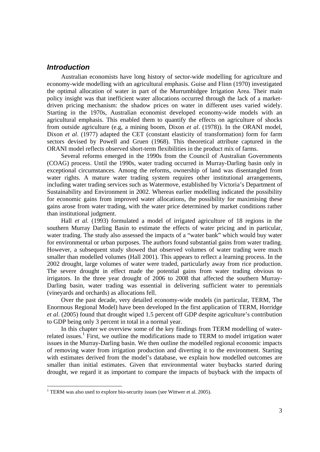### *Introduction*

Australian economists have long history of sector-wide modelling for agriculture and economy-wide modelling with an agricultural emphasis. Guise and Flinn (1970) investigated the optimal allocation of water in part of the Murrumbidgee Irrigation Area. Their main policy insight was that inefficient water allocations occurred through the lack of a marketdriven pricing mechanism: the shadow prices on water in different uses varied widely. Starting in the 1970s, Australian economist developed economy-wide models with an agricultural emphasis. This enabled them to quantify the effects on agriculture of shocks from outside agriculture (e.g, a mining boom, Dixon *et al*. (1978)). In the ORANI model, Dixon *et al*. (1977) adapted the CET (constant elasticity of transformation) form for farm sectors devised by Powell and Gruen (1968). This theoretical attribute captured in the ORANI model reflects observed short-term flexibilities in the product mix of farms.

Several reforms emerged in the 1990s from the Council of Australian Governments (COAG) process. Until the 1990s, water trading occurred in Murray-Darling basin only in exceptional circumstances. Among the reforms, ownership of land was disentangled from water rights. A mature water trading system requires other institutional arrangements, including water trading services such as Watermove, established by Victoria's Department of Sustainability and Environment in 2002. Whereas earlier modelling indicated the possibility for economic gains from improved water allocations, the possibility for maximising these gains arose from water trading, with the water price determined by market conditions rather than institutional judgment.

Hall *et al.* (1993) formulated a model of irrigated agriculture of 18 regions in the southern Murray Darling Basin to estimate the effects of water pricing and in particular, water trading. The study also assessed the impacts of a "water bank" which would buy water for environmental or urban purposes. The authors found substantial gains from water trading. However, a subsequent study showed that observed volumes of water trading were much smaller than modelled volumes (Hall 2001). This appears to reflect a learning process. In the 2002 drought, large volumes of water were traded, particularly away from rice production. The severe drought in effect made the potential gains from water trading obvious to irrigators. In the three year drought of 2006 to 2008 that affected the southern Murray-Darling basin, water trading was essential in delivering sufficient water to perennials (vineyards and orchards) as allocations fell.

Over the past decade, very detailed economy-wide models (in particular, TERM, The Enormous Regional Model) have been developed In the first application of TERM, Horridge *et al*. (2005) found that drought wiped 1.5 percent off GDP despite agriculture's contribution to GDP being only 3 percent in total in a normal year.

In this chapter we overview some of the key findings from TERM modelling of waterrelated issues.<sup>1</sup> First, we outline the modifications made to TERM to model irrigation water issues in the Murray-Darling basin. We then outline the modelled regional economic impacts of removing water from irrigation production and diverting it to the environment. Starting with estimates derived from the model's database, we explain how modelled outcomes are smaller than initial estimates. Given that environmental water buybacks started during drought, we regard it as important to compare the impacts of buyback with the impacts of

 $\overline{a}$ 

<sup>&</sup>lt;sup>1</sup> TERM was also used to explore bio-security issues (see Wittwer et al. 2005).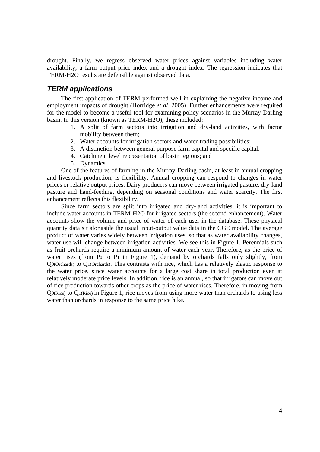drought. Finally, we regress observed water prices against variables including water availability, a farm output price index and a drought index. The regression indicates that TERM-H2O results are defensible against observed data.

### *TERM applications*

The first application of TERM performed well in explaining the negative income and employment impacts of drought (Horridge *et al*. 2005). Further enhancements were required for the model to become a useful tool for examining policy scenarios in the Murray-Darling basin. In this version (known as TERM-H2O), these included:

- 1. A split of farm sectors into irrigation and dry-land activities, with factor mobility between them;
- 2. Water accounts for irrigation sectors and water-trading possibilities;
- 3. A distinction between general purpose farm capital and specific capital.
- 4. Catchment level representation of basin regions; and
- 5. Dynamics.

One of the features of farming in the Murray-Darling basin, at least in annual cropping and livestock production, is flexibility. Annual cropping can respond to changes in water prices or relative output prices. Dairy producers can move between irrigated pasture, dry-land pasture and hand-feeding, depending on seasonal conditions and water scarcity. The first enhancement reflects this flexibility.

Since farm sectors are split into irrigated and dry-land activities, it is important to include water accounts in TERM-H2O for irrigated sectors (the second enhancement). Water accounts show the volume and price of water of each user in the database. These physical quantity data sit alongside the usual input-output value data in the CGE model. The average product of water varies widely between irrigation uses, so that as water availability changes, water use will change between irrigation activities. We see this in Figure 1. Perennials such as fruit orchards require a minimum amount of water each year. Therefore, as the price of water rises (from P<sub>0</sub> to P<sub>1</sub> in Figure 1), demand by orchards falls only slightly, from Q0(Orchards) to Q1(Orchards). This contrasts with rice, which has a relatively elastic response to the water price, since water accounts for a large cost share in total production even at relatively moderate price levels. In addition, rice is an annual, so that irrigators can move out of rice production towards other crops as the price of water rises. Therefore, in moving from Q0(Rice) to Q1(Rice) in Figure 1, rice moves from using more water than orchards to using less water than orchards in response to the same price hike.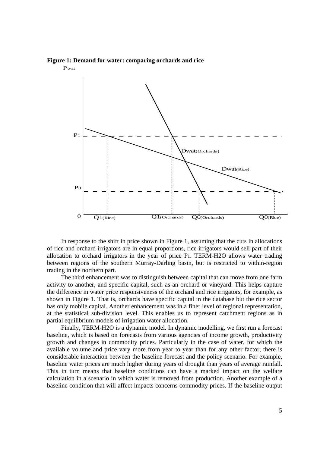### **Figure 1: Demand for water: comparing orchards and rice**

Pwat



In response to the shift in price shown in Figure 1, assuming that the cuts in allocations of rice and orchard irrigators are in equal proportions, rice irrigators would sell part of their allocation to orchard irrigators in the year of price P1. TERM-H2O allows water trading between regions of the southern Murray-Darling basin, but is restricted to within-region trading in the northern part.

The third enhancement was to distinguish between capital that can move from one farm activity to another, and specific capital, such as an orchard or vineyard. This helps capture the difference in water price responsiveness of the orchard and rice irrigators, for example, as shown in Figure 1. That is, orchards have specific capital in the database but the rice sector has only mobile capital. Another enhancement was in a finer level of regional representation, at the statistical sub-division level. This enables us to represent catchment regions as in partial equilibrium models of irrigation water allocation.

Finally, TERM-H2O is a dynamic model. In dynamic modelling, we first run a forecast baseline, which is based on forecasts from various agencies of income growth, productivity growth and changes in commodity prices. Particularly in the case of water, for which the available volume and price vary more from year to year than for any other factor, there is considerable interaction between the baseline forecast and the policy scenario. For example, baseline water prices are much higher during years of drought than years of average rainfall. This in turn means that baseline conditions can have a marked impact on the welfare calculation in a scenario in which water is removed from production. Another example of a baseline condition that will affect impacts concerns commodity prices. If the baseline output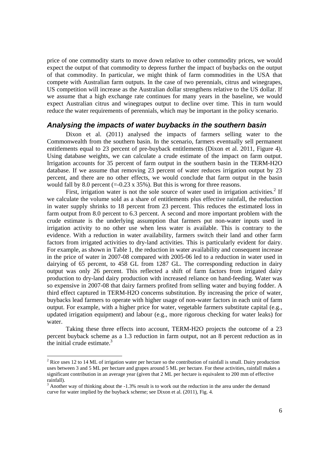price of one commodity starts to move down relative to other commodity prices, we would expect the output of that commodity to depress further the impact of buybacks on the output of that commodity. In particular, we might think of farm commodities in the USA that compete with Australian farm outputs. In the case of two perennials, citrus and winegrapes, US competition will increase as the Australian dollar strengthens relative to the US dollar. If we assume that a high exchange rate continues for many years in the baseline, we would expect Australian citrus and winegrapes output to decline over time. This in turn would reduce the water requirements of perennials, which may be important in the policy scenario.

### *Analysing the impacts of water buybacks in the southern basin*

Dixon et al. (2011) analysed the impacts of farmers selling water to the Commonwealth from the southern basin. In the scenario, farmers eventually sell permanent entitlements equal to 23 percent of pre-buyback entitlements (Dixon et al. 2011, Figure 4). Using database weights, we can calculate a crude estimate of the impact on farm output. Irrigation accounts for 35 percent of farm output in the southern basin in the TERM-H2O database. If we assume that removing 23 percent of water reduces irrigation output by 23 percent, and there are no other effects, we would conclude that farm output in the basin would fall by 8.0 percent  $(=0.23 \times 35\%)$ . But this is wrong for three reasons.

First, irrigation water is not the sole source of water used in irrigation activities.<sup>2</sup> If we calculate the volume sold as a share of entitlements plus effective rainfall, the reduction in water supply shrinks to 18 percent from 23 percent. This reduces the estimated loss in farm output from 8.0 percent to 6.3 percent. A second and more important problem with the crude estimate is the underlying assumption that farmers put non-water inputs used in irrigation activity to no other use when less water is available. This is contrary to the evidence. With a reduction in water availability, farmers switch their land and other farm factors from irrigated activities to dry-land activities. This is particularly evident for dairy. For example, as shown in Table 1, the reduction in water availability and consequent increase in the price of water in 2007-08 compared with 2005-06 led to a reduction in water used in dairying of 65 percent, to 458 GL from 1287 GL. The corresponding reduction in dairy output was only 26 percent. This reflected a shift of farm factors from irrigated dairy production to dry-land dairy production with increased reliance on hand-feeding. Water was so expensive in 2007-08 that dairy farmers profited from selling water and buying fodder. A third effect captured in TERM-H2O concerns substitution. By increasing the price of water, buybacks lead farmers to operate with higher usage of non-water factors in each unit of farm output. For example, with a higher price for water, vegetable farmers substitute capital (e.g., updated irrigation equipment) and labour (e.g., more rigorous checking for water leaks) for water.

Taking these three effects into account, TERM-H2O projects the outcome of a 23 percent buyback scheme as a 1.3 reduction in farm output, not an 8 percent reduction as in the initial crude estimate. $3$ 

<sup>&</sup>lt;sup>2</sup> Rice uses 12 to 14 ML of irrigation water per hectare so the contribution of rainfall is small. Dairy production uses between 3 and 5 ML per hectare and grapes around 5 ML per hectare. For these activities, rainfall makes a significant contribution in an average year (given that 2 ML per hectare is equivalent to 200 mm of effective rainfall).

 $3$  Another way of thinking about the -1.3% result is to work out the reduction in the area under the demand curve for water implied by the buyback scheme; see Dixon et al. (2011), Fig. 4.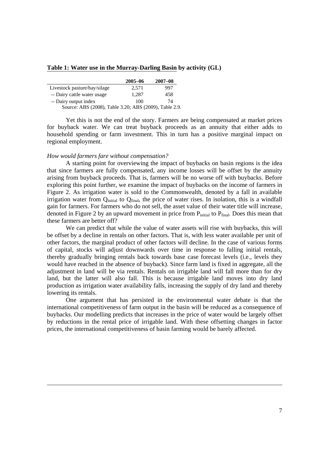### **Table 1: Water use in the Murray-Darling Basin by activity (GL)**

|                                                        | $2005 - 06$ | $2007 - 08$ |
|--------------------------------------------------------|-------------|-------------|
| Livestock pasture/hay/silage                           | 2.571       | 997         |
| -- Dairy cattle water usage                            | 1,287       | 458         |
| -- Dairy output index                                  | 100         | 74          |
| Source: ABS (2008), Table 3.20; ABS (2009), Table 2.9. |             |             |

Yet this is not the end of the story. Farmers are being compensated at market prices for buyback water. We can treat buyback proceeds as an annuity that either adds to household spending or farm investment. This in turn has a positive marginal impact on regional employment.

### *How would farmers fare without compensation?*

A starting point for overviewing the impact of buybacks on basin regions is the idea that since farmers are fully compensated, any income losses will be offset by the annuity arising from buyback proceeds. That is, farmers will be no worse off with buybacks. Before exploring this point further, we examine the impact of buybacks on the income of farmers in Figure 2. As irrigation water is sold to the Commonwealth, denoted by a fall in available irrigation water from  $Q<sub>initial</sub>$  to  $Q<sub>final</sub>$ , the price of water rises. In isolation, this is a windfall gain for farmers. For farmers who do not sell, the asset value of their water title will increase, denoted in Figure 2 by an upward movement in price from  $P_{initial}$  to  $P_{final}$ . Does this mean that these farmers are better off?

We can predict that while the value of water assets will rise with buybacks, this will be offset by a decline in rentals on other factors. That is, with less water available per unit of other factors, the marginal product of other factors will decline. In the case of various forms of capital, stocks will adjust downwards over time in response to falling initial rentals, thereby gradually bringing rentals back towards base case forecast levels (i.e., levels they would have reached in the absence of buyback). Since farm land is fixed in aggregate, all the adjustment in land will be via rentals. Rentals on irrigable land will fall more than for dry land, but the latter will also fall. This is because irrigable land moves into dry land production as irrigation water availability falls, increasing the supply of dry land and thereby lowering its rentals.

One argument that has persisted in the environmental water debate is that the international competitiveness of farm output in the basin will be reduced as a consequence of buybacks. Our modelling predicts that increases in the price of water would be largely offset by reductions in the rental price of irrigable land. With these offsetting changes in factor prices, the international competitiveness of basin farming would be barely affected.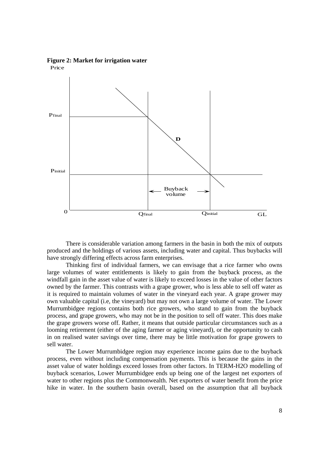**Figure 2: Market for irrigation water** 



There is considerable variation among farmers in the basin in both the mix of outputs produced and the holdings of various assets, including water and capital. Thus buybacks will have strongly differing effects across farm enterprises.

Thinking first of individual farmers, we can envisage that a rice farmer who owns large volumes of water entitlements is likely to gain from the buyback process, as the windfall gain in the asset value of water is likely to exceed losses in the value of other factors owned by the farmer. This contrasts with a grape grower, who is less able to sell off water as it is required to maintain volumes of water in the vineyard each year. A grape grower may own valuable capital (i.e, the vineyard) but may not own a large volume of water. The Lower Murrumbidgee regions contains both rice growers, who stand to gain from the buyback process, and grape growers, who may not be in the position to sell off water. This does make the grape growers worse off. Rather, it means that outside particular circumstances such as a looming retirement (either of the aging farmer or aging vineyard), or the opportunity to cash in on realised water savings over time, there may be little motivation for grape growers to sell water.

The Lower Murrumbidgee region may experience income gains due to the buyback process, even without including compensation payments. This is because the gains in the asset value of water holdings exceed losses from other factors. In TERM-H2O modelling of buyback scenarios, Lower Murrumbidgee ends up being one of the largest net exporters of water to other regions plus the Commonwealth. Net exporters of water benefit from the price hike in water. In the southern basin overall, based on the assumption that all buyback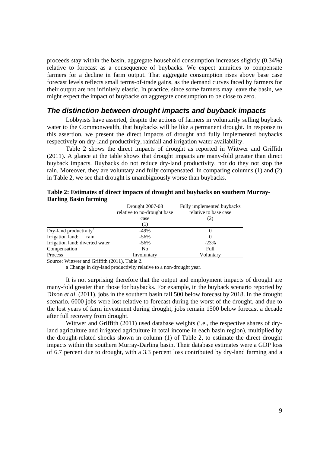proceeds stay within the basin, aggregate household consumption increases slightly (0.34%) relative to forecast as a consequence of buybacks. We expect annuities to compensate farmers for a decline in farm output. That aggregate consumption rises above base case forecast levels reflects small terms-of-trade gains, as the demand curves faced by farmers for their output are not infinitely elastic. In practice, since some farmers may leave the basin, we might expect the impact of buybacks on aggregate consumption to be close to zero.

### *The distinction between drought impacts and buyback impacts*

Lobbyists have asserted, despite the actions of farmers in voluntarily selling buyback water to the Commonwealth, that buybacks will be like a permanent drought. In response to this assertion, we present the direct impacts of drought and fully implemented buybacks respectively on dry-land productivity, rainfall and irrigation water availability.

Table 2 shows the direct impacts of drought as reported in Wittwer and Griffith (2011). A glance at the table shows that drought impacts are many-fold greater than direct buyback impacts. Buybacks do not reduce dry-land productivity, nor do they not stop the rain. Moreover, they are voluntary and fully compensated. In comparing columns (1) and (2) in Table 2, we see that drought is unambiguously worse than buybacks.

| Dalling Dashi tallining            |                             |                            |
|------------------------------------|-----------------------------|----------------------------|
|                                    | Drought 2007-08             | Fully implemented buybacks |
|                                    | relative to no-drought base | relative to base case      |
|                                    | case                        | (2)                        |
|                                    | (1)                         |                            |
| Dry-land productivity <sup>a</sup> | $-49%$                      |                            |
| Irrigation land:<br>rain           | $-56\%$                     | 0                          |
| Irrigation land: diverted water    | $-56\%$                     | $-23%$                     |
| Compensation                       | N <sub>0</sub>              | Full                       |
| Process                            | Involuntary                 | Voluntary                  |

**Table 2: Estimates of direct impacts of drought and buybacks on southern Murray-Darling Basin farming** 

Source: Wittwer and Griffith (2011), Table 2.

a Change in dry-land productivity relative to a non-drought year.

It is not surprising therefore that the output and employment impacts of drought are many-fold greater than those for buybacks. For example, in the buyback scenario reported by Dixon *et al.* (2011), jobs in the southern basin fall 500 below forecast by 2018. In the drought scenario, 6000 jobs were lost relative to forecast during the worst of the drought, and due to the lost years of farm investment during drought, jobs remain 1500 below forecast a decade after full recovery from drought.

Wittwer and Griffith (2011) used database weights (i.e., the respective shares of dryland agriculture and irrigated agriculture in total income in each basin region), multiplied by the drought-related shocks shown in column (1) of Table 2, to estimate the direct drought impacts within the southern Murray-Darling basin. Their database estimates were a GDP loss of 6.7 percent due to drought, with a 3.3 percent loss contributed by dry-land farming and a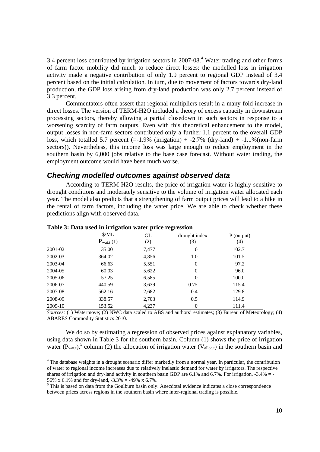3.4 percent loss contributed by irrigation sectors in  $2007-08<sup>4</sup>$  Water trading and other forms of farm factor mobility did much to reduce direct losses: the modelled loss in irrigation activity made a negative contribution of only 1.9 percent to regional GDP instead of 3.4 percent based on the initial calculation. In turn, due to movement of factors towards dry-land production, the GDP loss arising from dry-land production was only 2.7 percent instead of 3.3 percent.

Commentators often assert that regional multipliers result in a many-fold increase in direct losses. The version of TERM-H2O included a theory of excess capacity in downstream processing sectors, thereby allowing a partial closedown in such sectors in response to a worsening scarcity of farm outputs. Even with this theoretical enhancement to the model, output losses in non-farm sectors contributed only a further 1.1 percent to the overall GDP loss, which totalled 5.7 percent  $(=1.9\%$  (irrigation)  $+ -2.7\%$  (dry-land)  $+ -1.1\%$  (non-farm sectors)). Nevertheless, this income loss was large enough to reduce employment in the southern basin by 6,000 jobs relative to the base case forecast. Without water trading, the employment outcome would have been much worse.

### *Checking modelled outcomes against observed data*

According to TERM-H2O results, the price of irrigation water is highly sensitive to drought conditions and moderately sensitive to the volume of irrigation water allocated each year. The model also predicts that a strengthening of farm output prices will lead to a hike in the rental of farm factors, including the water price. We are able to check whether these predictions align with observed data.

|         | $M_{L}$<br>$P_{\text{wat,t}}(1)$ | GL<br>(2) | drought index<br>(3) | P (output)<br>(4) |
|---------|----------------------------------|-----------|----------------------|-------------------|
| 2001-02 | 35.00                            | 7,477     | 0                    | 102.7             |
| 2002-03 | 364.02                           | 4,856     | 1.0                  | 101.5             |
| 2003-04 | 66.63                            | 5,551     | $\Omega$             | 97.2              |
| 2004-05 | 60.03                            | 5,622     | $\Omega$             | 96.0              |
| 2005-06 | 57.25                            | 6,585     | $\Omega$             | 100.0             |
| 2006-07 | 440.59                           | 3,639     | 0.75                 | 115.4             |
| 2007-08 | 562.16                           | 2,682     | 0.4                  | 129.8             |
| 2008-09 | 338.57                           | 2,703     | 0.5                  | 114.9             |
| 2009-10 | 153.52                           | 4,237     | $\Omega$             | 111.4             |

### **Table 3: Data used in irrigation water price regression**

*Sources:* (1) Watermove; (2) NWC data scaled to ABS and authors' estimates; (3) Bureau of Meteorology; (4) ABARES Commodity Statistics 2010.

We do so by estimating a regression of observed prices against explanatory variables, using data shown in Table 3 for the southern basin. Column (1) shows the price of irrigation water ( $P_{\text{wat},t}$ ),<sup>5</sup> column (2) the allocation of irrigation water ( $V_{\text{alloc},t}$ ) in the southern basin and

<sup>&</sup>lt;sup>4</sup> The database weights in a drought scenario differ markedly from a normal year. In particular, the contribution of water to regional income increases due to relatively inelastic demand for water by irrigators. The respective shares of irrigation and dry-land activity in southern basin GDP are 6.1% and 6.7%. For irrigation, -3.4% = - 56% x 6.1% and for dry-land, -3.3% = -49% x 6.7%.

<sup>&</sup>lt;sup>5</sup> This is based on data from the Goulburn basin only. Anecdotal evidence indicates a close correspondence between prices across regions in the southern basin where inter-regional trading is possible.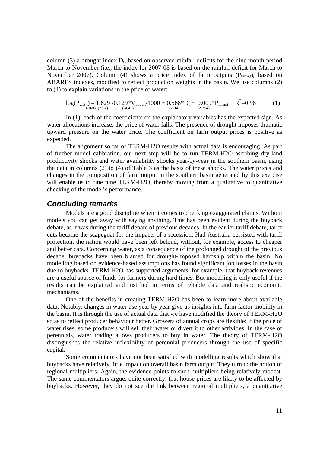column  $(3)$  a drought index  $D_t$ , based on observed rainfall deficits for the nine month period March to November (i.e., the index for 2007-08 is based on the rainfall deficit for March to November 2007). Column (4) shows a price index of farm outputs  $(P_{farm t})$ , based on ABARES indexes, modified to reflect production weights in the basin. We use columns (2) to (4) to explain variations in the price of water:

$$
log(P_{\text{wat},t}) = 1.629 - 0.129 \cdot V_{\text{alloc},t}/1000 + 0.568 \cdot V_{\text{D}_t} + 0.009 \cdot P_{\text{farm},t} \quad R^2 = 0.98 \tag{1}
$$

In (1), each of the coefficients on the explanatory variables has the expected sign. As water allocations increase, the price of water falls. The presence of drought imposes dramatic upward pressure on the water price. The coefficient on farm output prices is positive as expected.

The alignment so far of TERM-H2O results with actual data is encouraging. As part of further model calibration, our next step will be to run TERM-H2O ascribing dry-land productivity shocks and water availability shocks year-by-year in the southern basin, using the data in columns (2) to (4) of Table 3 as the basis of these shocks. The water prices and changes in the composition of farm output in the southern basin generated by this exercise will enable us to fine tune TERM-H2O, thereby moving from a qualitative to quantitative checking of the model's performance.

### *Concluding remarks*

Models are a good discipline when it comes to checking exaggerated claims. Without models you can get away with saying anything. This has been evident during the buyback debate, as it was during the tariff debate of previous decades. In the earlier tariff debate, tariff cuts became the scapegoat for the impacts of a recession. Had Australia persisted with tariff protection, the nation would have been left behind, without, for example, access to cheaper and better cars. Concerning water, as a consequence of the prolonged drought of the previous decade, buybacks have been blamed for drought-imposed hardship within the basin. No modelling based on evidence-based assumptions has found significant job losses in the basin due to buybacks. TERM-H2O has supported arguments, for example, that buyback revenues are a useful source of funds for farmers during hard times. But modelling is only useful if the results can be explained and justified in terms of reliable data and realistic economic mechanisms.

One of the benefits in creating TERM-H2O has been to learn more about available data. Notably, changes in water use year by year give us insights into farm factor mobility in the basin. It is through the use of actual data that we have modified the theory of TERM-H2O so as to reflect producer behaviour better. Growers of annual crops are flexible: if the price of water rises, some producers will sell their water or divert it to other activities. In the case of perennials, water trading allows producers to buy in water. The theory of TERM-H2O distinguishes the relative inflexibility of perennial producers through the use of specific capital.

Some commentators have not been satisfied with modelling results which show that buybacks have relatively little impact on overall basin farm output. They turn to the notion of regional multipliers. Again, the evidence points to such multipliers being relatively modest. The same commentators argue, quite correctly, that house prices are likely to be affected by buybacks. However, they do not see the link between regional multipliers, a quantitative